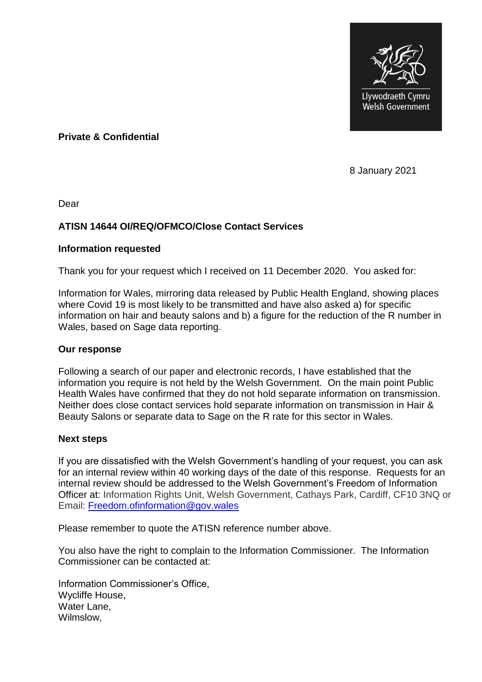

**Private & Confidential**

8 January 2021

Dear

## **ATISN 14644 OI/REQ/OFMCO/Close Contact Services**

## **Information requested**

Thank you for your request which I received on 11 December 2020. You asked for:

Information for Wales, mirroring data released by Public Health England, showing places where Covid 19 is most likely to be transmitted and have also asked a) for specific information on hair and beauty salons and b) a figure for the reduction of the R number in Wales, based on Sage data reporting.

## **Our response**

Following a search of our paper and electronic records, I have established that the information you require is not held by the Welsh Government. On the main point Public Health Wales have confirmed that they do not hold separate information on transmission. Neither does close contact services hold separate information on transmission in Hair & Beauty Salons or separate data to Sage on the R rate for this sector in Wales.

## **Next steps**

If you are dissatisfied with the Welsh Government's handling of your request, you can ask for an internal review within 40 working days of the date of this response. Requests for an internal review should be addressed to the Welsh Government's Freedom of Information Officer at: Information Rights Unit, Welsh Government, Cathays Park, Cardiff, CF10 3NQ or Email: [Freedom.ofinformation@gov.wales](mailto:Freedom.ofinformation@gov.wales)

Please remember to quote the ATISN reference number above.

You also have the right to complain to the Information Commissioner. The Information Commissioner can be contacted at:

Information Commissioner's Office, Wycliffe House, Water Lane, Wilmslow,